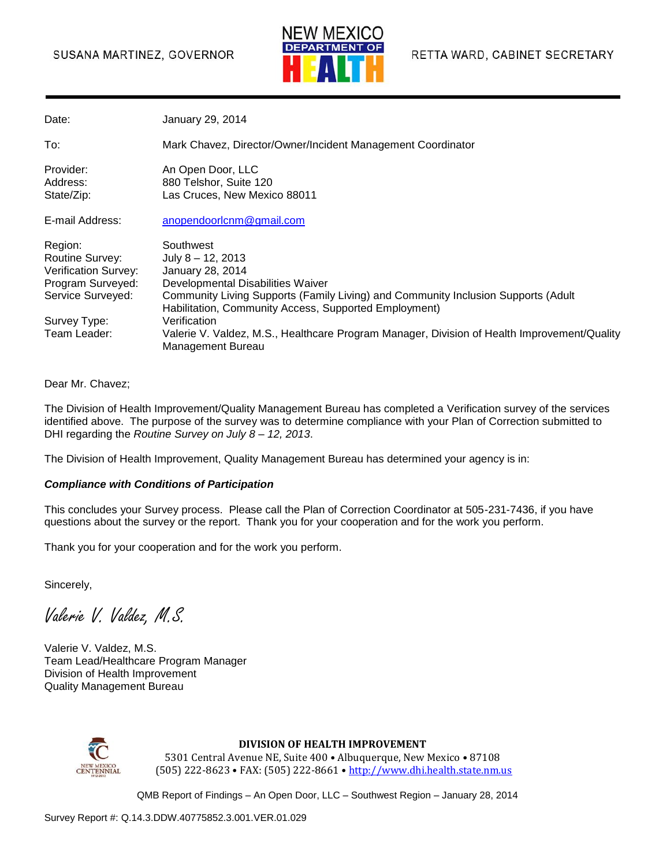### SUSANA MARTINEZ, GOVERNOR



| Date:                                                                                        | January 29, 2014                                                                                                                                                                                                                         |
|----------------------------------------------------------------------------------------------|------------------------------------------------------------------------------------------------------------------------------------------------------------------------------------------------------------------------------------------|
| To:                                                                                          | Mark Chavez, Director/Owner/Incident Management Coordinator                                                                                                                                                                              |
| Provider:<br>Address:<br>State/Zip:                                                          | An Open Door, LLC<br>880 Telshor, Suite 120<br>Las Cruces, New Mexico 88011                                                                                                                                                              |
| E-mail Address:                                                                              | anopendoorlcnm@gmail.com                                                                                                                                                                                                                 |
| Region:<br>Routine Survey:<br>Verification Survey:<br>Program Surveyed:<br>Service Surveyed: | Southwest<br>July $8 - 12$ , 2013<br>January 28, 2014<br>Developmental Disabilities Waiver<br>Community Living Supports (Family Living) and Community Inclusion Supports (Adult<br>Habilitation, Community Access, Supported Employment) |
| Survey Type:<br>Team Leader:                                                                 | Verification<br>Valerie V. Valdez, M.S., Healthcare Program Manager, Division of Health Improvement/Quality<br>Management Bureau                                                                                                         |

#### Dear Mr. Chavez;

The Division of Health Improvement/Quality Management Bureau has completed a Verification survey of the services identified above. The purpose of the survey was to determine compliance with your Plan of Correction submitted to DHI regarding the *Routine Survey on July 8 – 12, 2013*.

The Division of Health Improvement, Quality Management Bureau has determined your agency is in:

#### *Compliance with Conditions of Participation*

This concludes your Survey process. Please call the Plan of Correction Coordinator at 505-231-7436, if you have questions about the survey or the report. Thank you for your cooperation and for the work you perform.

Thank you for your cooperation and for the work you perform.

Sincerely,

Valerie V. Valdez, M.S.

Valerie V. Valdez, M.S. Team Lead/Healthcare Program Manager Division of Health Improvement Quality Management Bureau



#### **DIVISION OF HEALTH IMPROVEMENT**

5301 Central Avenue NE, Suite 400 • Albuquerque, New Mexico • 87108 (505) 222-8623 • FAX: (505) 222-8661 • http://www.dhi.health.state.nm.us

QMB Report of Findings – An Open Door, LLC – Southwest Region – January 28, 2014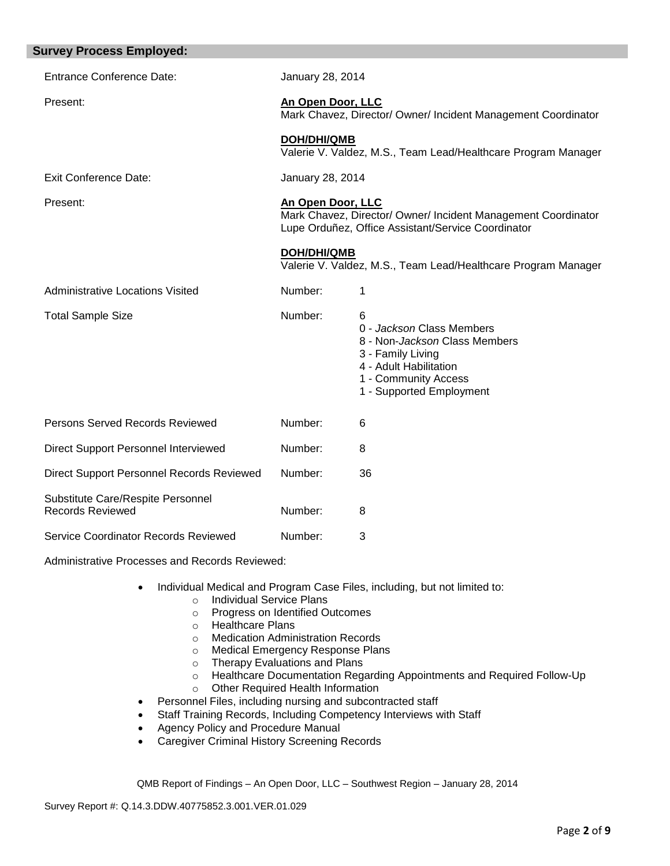| <b>Survey Process Employed:</b>                              |                                                                                                                                          |                                                                                                                                                                    |  |
|--------------------------------------------------------------|------------------------------------------------------------------------------------------------------------------------------------------|--------------------------------------------------------------------------------------------------------------------------------------------------------------------|--|
| <b>Entrance Conference Date:</b>                             | January 28, 2014                                                                                                                         |                                                                                                                                                                    |  |
| Present:                                                     | An Open Door, LLC<br>Mark Chavez, Director/ Owner/ Incident Management Coordinator                                                       |                                                                                                                                                                    |  |
|                                                              | <b>DOH/DHI/QMB</b>                                                                                                                       | Valerie V. Valdez, M.S., Team Lead/Healthcare Program Manager                                                                                                      |  |
| <b>Exit Conference Date:</b>                                 | January 28, 2014                                                                                                                         |                                                                                                                                                                    |  |
| Present:                                                     | An Open Door, LLC<br>Mark Chavez, Director/ Owner/ Incident Management Coordinator<br>Lupe Orduñez, Office Assistant/Service Coordinator |                                                                                                                                                                    |  |
|                                                              | <b>DOH/DHI/QMB</b><br>Valerie V. Valdez, M.S., Team Lead/Healthcare Program Manager                                                      |                                                                                                                                                                    |  |
| <b>Administrative Locations Visited</b>                      | Number:                                                                                                                                  | 1                                                                                                                                                                  |  |
| <b>Total Sample Size</b>                                     | Number:                                                                                                                                  | 6<br>0 - Jackson Class Members<br>8 - Non-Jackson Class Members<br>3 - Family Living<br>4 - Adult Habilitation<br>1 - Community Access<br>1 - Supported Employment |  |
| Persons Served Records Reviewed                              | Number:                                                                                                                                  | 6                                                                                                                                                                  |  |
| Direct Support Personnel Interviewed                         | Number:                                                                                                                                  | 8                                                                                                                                                                  |  |
| Direct Support Personnel Records Reviewed                    | Number:                                                                                                                                  | 36                                                                                                                                                                 |  |
| Substitute Care/Respite Personnel<br><b>Records Reviewed</b> | Number:                                                                                                                                  | 8                                                                                                                                                                  |  |
| Service Coordinator Records Reviewed                         | Number:                                                                                                                                  | 3                                                                                                                                                                  |  |

Administrative Processes and Records Reviewed:

- Individual Medical and Program Case Files, including, but not limited to:
	- o Individual Service Plans
	- o Progress on Identified Outcomes
	- o Healthcare Plans
	- o Medication Administration Records
	- o Medical Emergency Response Plans
	- o Therapy Evaluations and Plans<br>
	o Healthcare Documentation Rega
	- Healthcare Documentation Regarding Appointments and Required Follow-Up
	- o Other Required Health Information
- Personnel Files, including nursing and subcontracted staff
- Staff Training Records, Including Competency Interviews with Staff
- Agency Policy and Procedure Manual
- **Caregiver Criminal History Screening Records**

QMB Report of Findings – An Open Door, LLC – Southwest Region – January 28, 2014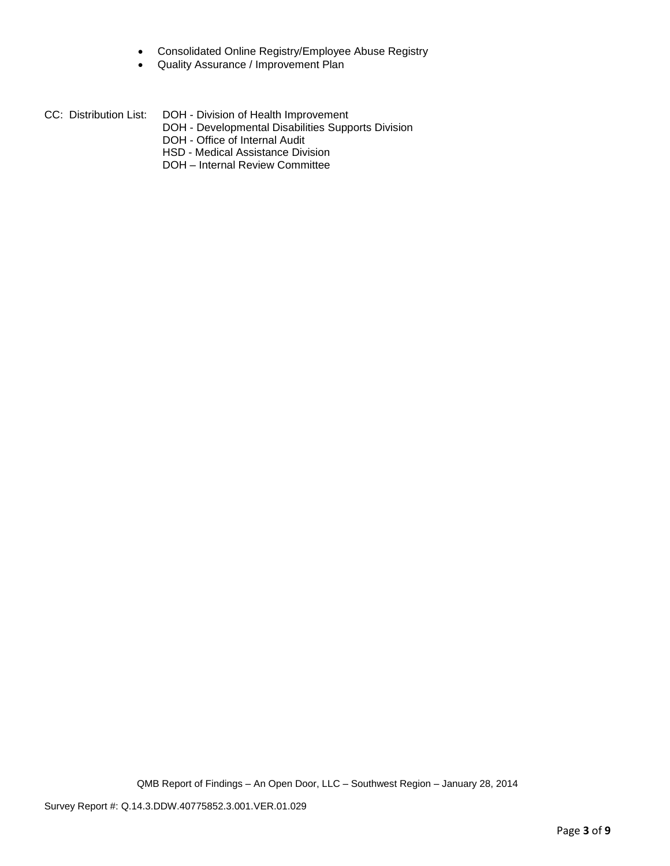- Consolidated Online Registry/Employee Abuse Registry
- Quality Assurance / Improvement Plan

| CC: Distribution List: | DOH - Division of Health Improvement |
|------------------------|--------------------------------------|
|------------------------|--------------------------------------|

- DOH Developmental Disabilities Supports Division
- DOH Office of Internal Audit
- HSD Medical Assistance Division
- DOH Internal Review Committee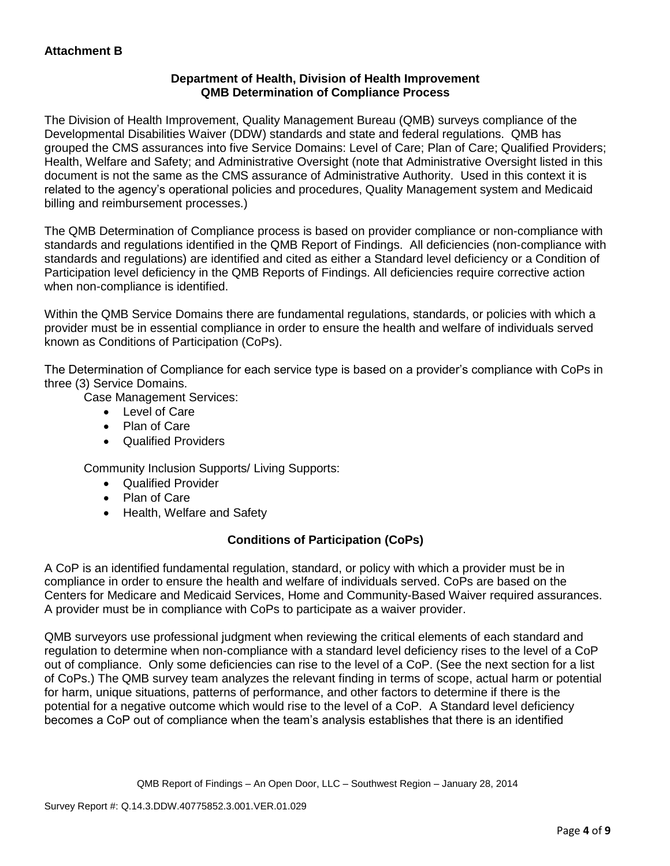# **Department of Health, Division of Health Improvement QMB Determination of Compliance Process**

The Division of Health Improvement, Quality Management Bureau (QMB) surveys compliance of the Developmental Disabilities Waiver (DDW) standards and state and federal regulations. QMB has grouped the CMS assurances into five Service Domains: Level of Care; Plan of Care; Qualified Providers; Health, Welfare and Safety; and Administrative Oversight (note that Administrative Oversight listed in this document is not the same as the CMS assurance of Administrative Authority. Used in this context it is related to the agency's operational policies and procedures, Quality Management system and Medicaid billing and reimbursement processes.)

The QMB Determination of Compliance process is based on provider compliance or non-compliance with standards and regulations identified in the QMB Report of Findings. All deficiencies (non-compliance with standards and regulations) are identified and cited as either a Standard level deficiency or a Condition of Participation level deficiency in the QMB Reports of Findings. All deficiencies require corrective action when non-compliance is identified.

Within the QMB Service Domains there are fundamental regulations, standards, or policies with which a provider must be in essential compliance in order to ensure the health and welfare of individuals served known as Conditions of Participation (CoPs).

The Determination of Compliance for each service type is based on a provider's compliance with CoPs in three (3) Service Domains.

Case Management Services:

- Level of Care
- Plan of Care
- Qualified Providers

Community Inclusion Supports/ Living Supports:

- Qualified Provider
- Plan of Care
- Health, Welfare and Safety

# **Conditions of Participation (CoPs)**

A CoP is an identified fundamental regulation, standard, or policy with which a provider must be in compliance in order to ensure the health and welfare of individuals served. CoPs are based on the Centers for Medicare and Medicaid Services, Home and Community-Based Waiver required assurances. A provider must be in compliance with CoPs to participate as a waiver provider.

QMB surveyors use professional judgment when reviewing the critical elements of each standard and regulation to determine when non-compliance with a standard level deficiency rises to the level of a CoP out of compliance. Only some deficiencies can rise to the level of a CoP. (See the next section for a list of CoPs.) The QMB survey team analyzes the relevant finding in terms of scope, actual harm or potential for harm, unique situations, patterns of performance, and other factors to determine if there is the potential for a negative outcome which would rise to the level of a CoP. A Standard level deficiency becomes a CoP out of compliance when the team's analysis establishes that there is an identified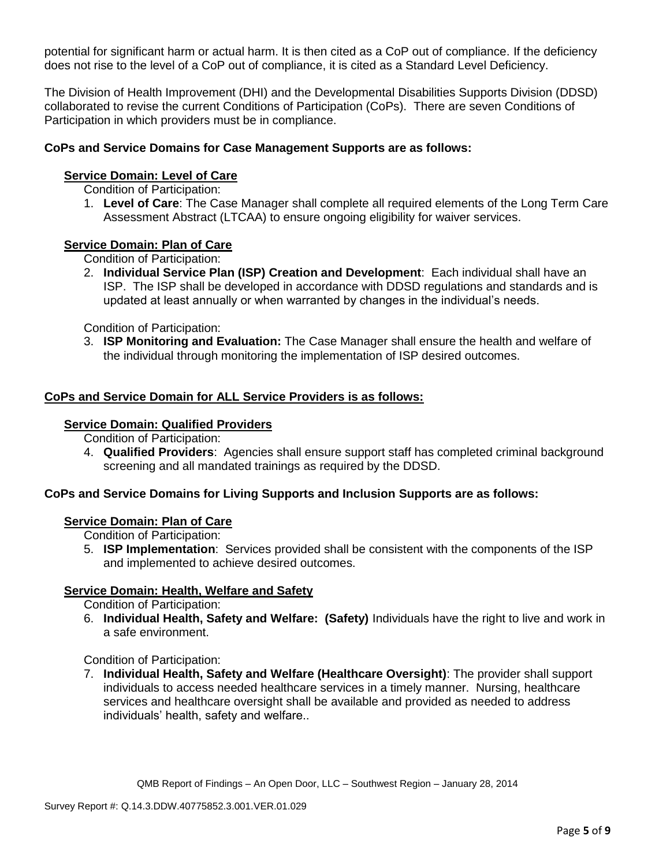potential for significant harm or actual harm. It is then cited as a CoP out of compliance. If the deficiency does not rise to the level of a CoP out of compliance, it is cited as a Standard Level Deficiency.

The Division of Health Improvement (DHI) and the Developmental Disabilities Supports Division (DDSD) collaborated to revise the current Conditions of Participation (CoPs). There are seven Conditions of Participation in which providers must be in compliance.

# **CoPs and Service Domains for Case Management Supports are as follows:**

## **Service Domain: Level of Care**

Condition of Participation:

1. **Level of Care**: The Case Manager shall complete all required elements of the Long Term Care Assessment Abstract (LTCAA) to ensure ongoing eligibility for waiver services.

### **Service Domain: Plan of Care**

Condition of Participation:

2. **Individual Service Plan (ISP) Creation and Development**: Each individual shall have an ISP. The ISP shall be developed in accordance with DDSD regulations and standards and is updated at least annually or when warranted by changes in the individual's needs.

Condition of Participation:

3. **ISP Monitoring and Evaluation:** The Case Manager shall ensure the health and welfare of the individual through monitoring the implementation of ISP desired outcomes.

# **CoPs and Service Domain for ALL Service Providers is as follows:**

#### **Service Domain: Qualified Providers**

Condition of Participation:

4. **Qualified Providers**: Agencies shall ensure support staff has completed criminal background screening and all mandated trainings as required by the DDSD.

# **CoPs and Service Domains for Living Supports and Inclusion Supports are as follows:**

### **Service Domain: Plan of Care**

Condition of Participation:

5. **ISP Implementation**: Services provided shall be consistent with the components of the ISP and implemented to achieve desired outcomes.

### **Service Domain: Health, Welfare and Safety**

Condition of Participation:

6. **Individual Health, Safety and Welfare: (Safety)** Individuals have the right to live and work in a safe environment.

### Condition of Participation:

7. **Individual Health, Safety and Welfare (Healthcare Oversight)**: The provider shall support individuals to access needed healthcare services in a timely manner. Nursing, healthcare services and healthcare oversight shall be available and provided as needed to address individuals' health, safety and welfare..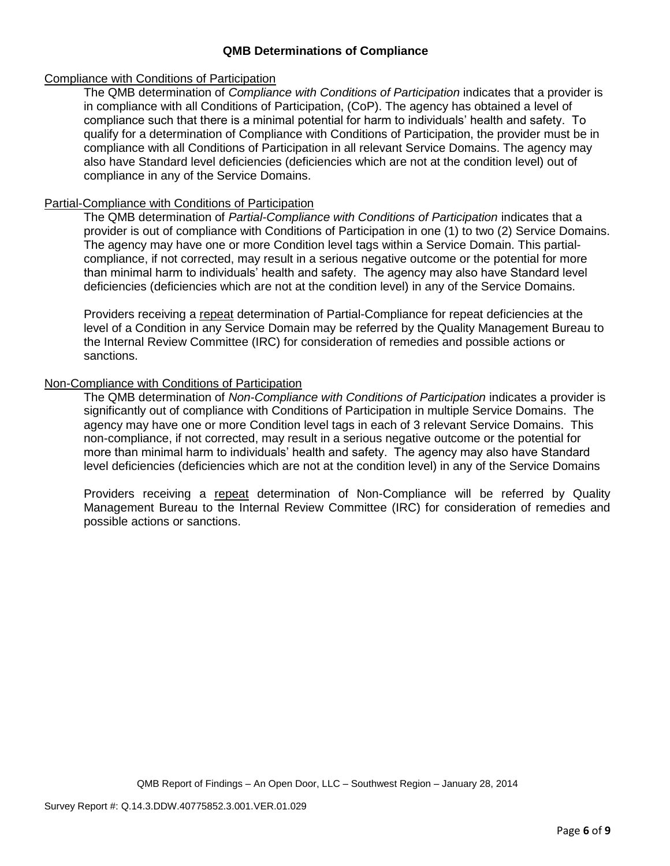# **QMB Determinations of Compliance**

## Compliance with Conditions of Participation

The QMB determination of *Compliance with Conditions of Participation* indicates that a provider is in compliance with all Conditions of Participation, (CoP). The agency has obtained a level of compliance such that there is a minimal potential for harm to individuals' health and safety. To qualify for a determination of Compliance with Conditions of Participation, the provider must be in compliance with all Conditions of Participation in all relevant Service Domains. The agency may also have Standard level deficiencies (deficiencies which are not at the condition level) out of compliance in any of the Service Domains.

## Partial-Compliance with Conditions of Participation

The QMB determination of *Partial-Compliance with Conditions of Participation* indicates that a provider is out of compliance with Conditions of Participation in one (1) to two (2) Service Domains. The agency may have one or more Condition level tags within a Service Domain. This partialcompliance, if not corrected, may result in a serious negative outcome or the potential for more than minimal harm to individuals' health and safety. The agency may also have Standard level deficiencies (deficiencies which are not at the condition level) in any of the Service Domains.

Providers receiving a repeat determination of Partial-Compliance for repeat deficiencies at the level of a Condition in any Service Domain may be referred by the Quality Management Bureau to the Internal Review Committee (IRC) for consideration of remedies and possible actions or sanctions.

# Non-Compliance with Conditions of Participation

The QMB determination of *Non-Compliance with Conditions of Participation* indicates a provider is significantly out of compliance with Conditions of Participation in multiple Service Domains. The agency may have one or more Condition level tags in each of 3 relevant Service Domains. This non-compliance, if not corrected, may result in a serious negative outcome or the potential for more than minimal harm to individuals' health and safety. The agency may also have Standard level deficiencies (deficiencies which are not at the condition level) in any of the Service Domains

Providers receiving a repeat determination of Non-Compliance will be referred by Quality Management Bureau to the Internal Review Committee (IRC) for consideration of remedies and possible actions or sanctions.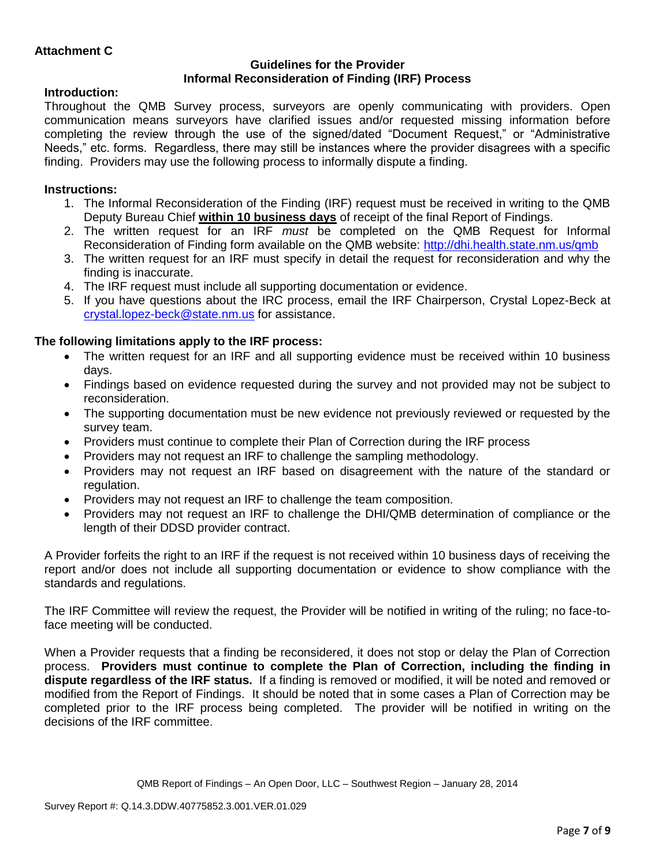# **Guidelines for the Provider Informal Reconsideration of Finding (IRF) Process**

# **Introduction:**

Throughout the QMB Survey process, surveyors are openly communicating with providers. Open communication means surveyors have clarified issues and/or requested missing information before completing the review through the use of the signed/dated "Document Request," or "Administrative Needs," etc. forms. Regardless, there may still be instances where the provider disagrees with a specific finding. Providers may use the following process to informally dispute a finding.

# **Instructions:**

- 1. The Informal Reconsideration of the Finding (IRF) request must be received in writing to the QMB Deputy Bureau Chief **within 10 business days** of receipt of the final Report of Findings.
- 2. The written request for an IRF *must* be completed on the QMB Request for Informal Reconsideration of Finding form available on the QMB website:<http://dhi.health.state.nm.us/qmb>
- 3. The written request for an IRF must specify in detail the request for reconsideration and why the finding is inaccurate.
- 4. The IRF request must include all supporting documentation or evidence.
- 5. If you have questions about the IRC process, email the IRF Chairperson, Crystal Lopez-Beck at [crystal.lopez-beck@state.nm.us](mailto:crystal.lopez-beck@state.nm.us) for assistance.

# **The following limitations apply to the IRF process:**

- The written request for an IRF and all supporting evidence must be received within 10 business days.
- Findings based on evidence requested during the survey and not provided may not be subject to reconsideration.
- The supporting documentation must be new evidence not previously reviewed or requested by the survey team.
- Providers must continue to complete their Plan of Correction during the IRF process
- Providers may not request an IRF to challenge the sampling methodology.
- Providers may not request an IRF based on disagreement with the nature of the standard or regulation.
- Providers may not request an IRF to challenge the team composition.
- Providers may not request an IRF to challenge the DHI/QMB determination of compliance or the length of their DDSD provider contract.

A Provider forfeits the right to an IRF if the request is not received within 10 business days of receiving the report and/or does not include all supporting documentation or evidence to show compliance with the standards and regulations.

The IRF Committee will review the request, the Provider will be notified in writing of the ruling; no face-toface meeting will be conducted.

When a Provider requests that a finding be reconsidered, it does not stop or delay the Plan of Correction process. **Providers must continue to complete the Plan of Correction, including the finding in dispute regardless of the IRF status.** If a finding is removed or modified, it will be noted and removed or modified from the Report of Findings. It should be noted that in some cases a Plan of Correction may be completed prior to the IRF process being completed. The provider will be notified in writing on the decisions of the IRF committee.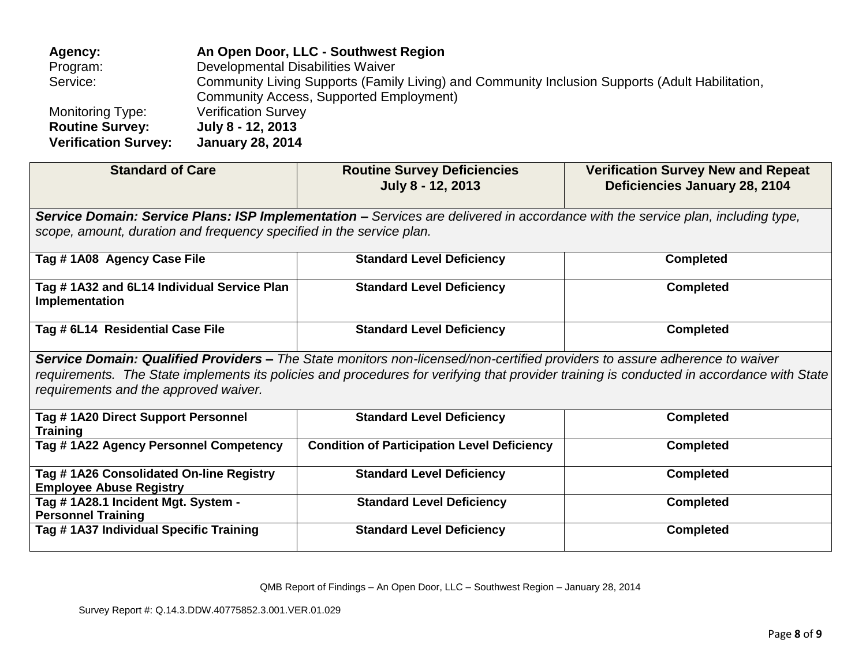| Agency:                     | An Open Door, LLC - Southwest Region                                                            |
|-----------------------------|-------------------------------------------------------------------------------------------------|
| Program:                    | Developmental Disabilities Waiver                                                               |
| Service:                    | Community Living Supports (Family Living) and Community Inclusion Supports (Adult Habilitation, |
|                             | Community Access, Supported Employment)                                                         |
| Monitoring Type:            | <b>Verification Survey</b>                                                                      |
| <b>Routine Survey:</b>      | July 8 - 12, 2013                                                                               |
| <b>Verification Survey:</b> | <b>January 28, 2014</b>                                                                         |

| <b>Standard of Care</b>                                                                                                                                                                                                                                                                                           | <b>Routine Survey Deficiencies</b><br>July 8 - 12, 2013 | <b>Verification Survey New and Repeat</b><br>Deficiencies January 28, 2104 |  |  |  |  |
|-------------------------------------------------------------------------------------------------------------------------------------------------------------------------------------------------------------------------------------------------------------------------------------------------------------------|---------------------------------------------------------|----------------------------------------------------------------------------|--|--|--|--|
| Service Domain: Service Plans: ISP Implementation – Services are delivered in accordance with the service plan, including type,                                                                                                                                                                                   |                                                         |                                                                            |  |  |  |  |
| scope, amount, duration and frequency specified in the service plan.                                                                                                                                                                                                                                              |                                                         |                                                                            |  |  |  |  |
| Tag #1A08 Agency Case File                                                                                                                                                                                                                                                                                        | <b>Standard Level Deficiency</b>                        | <b>Completed</b>                                                           |  |  |  |  |
| Tag #1A32 and 6L14 Individual Service Plan<br>Implementation                                                                                                                                                                                                                                                      | <b>Standard Level Deficiency</b>                        | <b>Completed</b>                                                           |  |  |  |  |
| Tag # 6L14 Residential Case File                                                                                                                                                                                                                                                                                  | <b>Standard Level Deficiency</b>                        | <b>Completed</b>                                                           |  |  |  |  |
| Service Domain: Qualified Providers – The State monitors non-licensed/non-certified providers to assure adherence to waiver<br>requirements. The State implements its policies and procedures for verifying that provider training is conducted in accordance with State<br>requirements and the approved waiver. |                                                         |                                                                            |  |  |  |  |
| Tag # 1A20 Direct Support Personnel<br><b>Training</b>                                                                                                                                                                                                                                                            | <b>Standard Level Deficiency</b>                        | <b>Completed</b>                                                           |  |  |  |  |
| Tag #1A22 Agency Personnel Competency                                                                                                                                                                                                                                                                             | <b>Condition of Participation Level Deficiency</b>      | <b>Completed</b>                                                           |  |  |  |  |
| Tag # 1A26 Consolidated On-line Registry<br><b>Employee Abuse Registry</b>                                                                                                                                                                                                                                        | <b>Standard Level Deficiency</b>                        | <b>Completed</b>                                                           |  |  |  |  |
| Tag #1A28.1 Incident Mgt. System -<br><b>Personnel Training</b>                                                                                                                                                                                                                                                   | <b>Standard Level Deficiency</b>                        | <b>Completed</b>                                                           |  |  |  |  |
| Tag # 1A37 Individual Specific Training                                                                                                                                                                                                                                                                           | <b>Standard Level Deficiency</b>                        | <b>Completed</b>                                                           |  |  |  |  |

QMB Report of Findings – An Open Door, LLC – Southwest Region – January 28, 2014